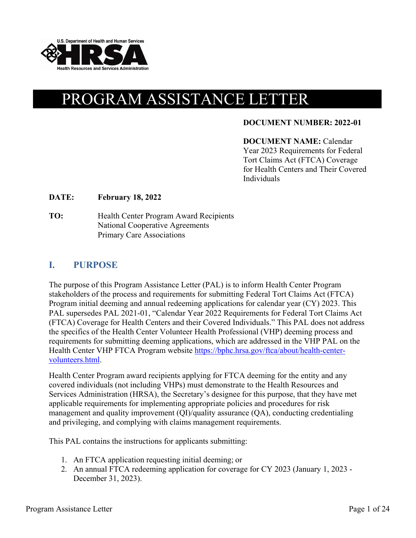

# PROGRAM ASSISTANCE LETTER

#### **DOCUMENT NUMBER: 2022-01**

#### **DOCUMENT NAME:** Calendar Year 2023 Requirements for Federal Tort Claims Act (FTCA) Coverage for Health Centers and Their Covered Individuals

#### **DATE: February 18, 2022**

**TO:** Health Center Program Award Recipients National Cooperative Agreements Primary Care Associations

#### **I. PURPOSE**

The purpose of this Program Assistance Letter (PAL) is to inform Health Center Program stakeholders of the process and requirements for submitting Federal Tort Claims Act (FTCA) Program initial deeming and annual redeeming applications for calendar year (CY) 2023. This PAL supersedes PAL 2021-01, "Calendar Year 2022 Requirements for Federal Tort Claims Act (FTCA) Coverage for Health Centers and their Covered Individuals." This PAL does not address the specifics of the Health Center Volunteer Health Professional (VHP) deeming process and requirements for submitting deeming applications, which are addressed in the VHP PAL on the Health Center VHP FTCA Program website [https://bphc.hrsa.gov/ftca/about/health-center](https://bphc.hrsa.gov/ftca/about/health-center-volunteers.html)[volunteers.html.](https://bphc.hrsa.gov/ftca/about/health-center-volunteers.html) 

Health Center Program award recipients applying for FTCA deeming for the entity and any covered individuals (not including VHPs) must demonstrate to the Health Resources and Services Administration (HRSA), the Secretary's designee for this purpose, that they have met applicable requirements for implementing appropriate policies and procedures for risk management and quality improvement (QI)/quality assurance (QA), conducting credentialing and privileging, and complying with claims management requirements.

This PAL contains the instructions for applicants submitting:

- 1. An FTCA application requesting initial deeming; or
- 2. An annual FTCA redeeming application for coverage for CY 2023 (January 1, 2023 December 31, 2023).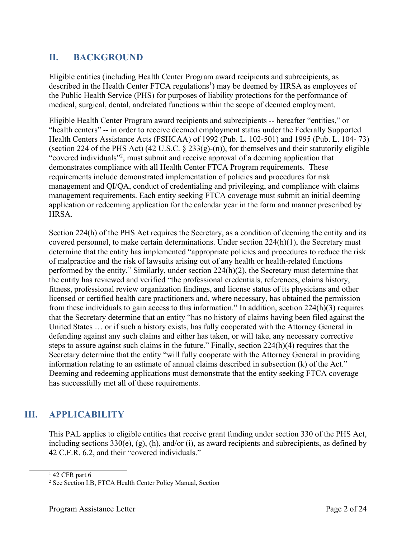# **II. BACKGROUND**

Eligible entities (including Health Center Program award recipients and subrecipients, as described in the Health Center FTCA regulations<sup>1</sup>) may be deemed by HRSA as employees of the Public Health Service (PHS) for purposes of liability protections for the performance of medical, surgical, dental, and related functions within the scope of deemed employment.

Eligible Health Center Program award recipients and subrecipients -- hereafter "entities," or "health centers" -- in order to receive deemed employment status under the Federally Supported Health Centers Assistance Acts (FSHCAA) of 1992 (Pub. L. 102-501) and 1995 (Pub. L. 104- 73) (section 224 of the PHS Act) (42 U.S.C.  $\S$  233(g)-(n)), for themselves and their statutorily eligible "covered individuals"<sup>[2](#page-1-1)</sup>, must submit and receive approval of a deeming application that demonstrates compliance with all Health Center FTCA Program requirements. These requirements include demonstrated implementation of policies and procedures for risk management and QI/QA, conduct of credentialing and privileging, and compliance with claims management requirements. Each entity seeking FTCA coverage must submit an initial deeming application or redeeming application for the calendar year in the form and manner prescribed by HRSA.

Section 224(h) of the PHS Act requires the Secretary, as a condition of deeming the entity and its covered personnel, to make certain determinations. Under section  $224(h)(1)$ , the Secretary must determine that the entity has implemented "appropriate policies and procedures to reduce the risk of malpractice and the risk of lawsuits arising out of any health or health-related functions performed by the entity." Similarly, under section 224(h)(2), the Secretary must determine that the entity has reviewed and verified "the professional credentials, references, claims history, fitness, professional review organization findings, and license status of its physicians and other licensed or certified health care practitioners and, where necessary, has obtained the permission from these individuals to gain access to this information." In addition, section 224(h)(3) requires that the Secretary determine that an entity "has no history of claims having been filed against the United States … or if such a history exists, has fully cooperated with the Attorney General in defending against any such claims and either has taken, or will take, any necessary corrective steps to assure against such claims in the future." Finally, section 224(h)(4) requires that the Secretary determine that the entity "will fully cooperate with the Attorney General in providing information relating to an estimate of annual claims described in subsection (k) of the Act." Deeming and redeeming applications must demonstrate that the entity seeking FTCA coverage has successfully met all of these requirements.

# **III. APPLICABILITY**

This PAL applies to eligible entities that receive grant funding under section 330 of the PHS Act, including sections 330(e), (g), (h), and/or (i), as award recipients and subrecipients, as defined by 42 C.F.R. 6.2, and their "covered individuals."

<span id="page-1-1"></span><span id="page-1-0"></span> $1$  42 CFR part 6

<sup>2</sup> See Section I.B, FTCA Health Center Policy Manual, Section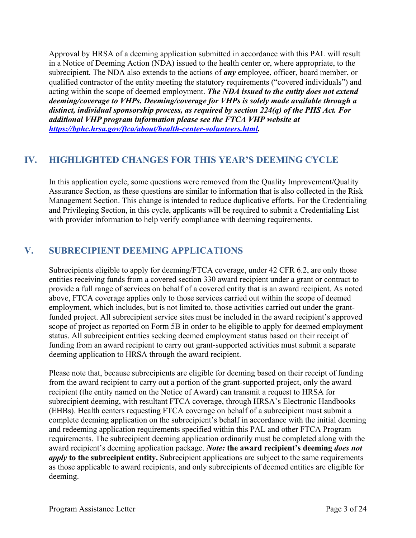Approval by HRSA of a deeming application submitted in accordance with this PAL will result in a Notice of Deeming Action (NDA) issued to the health center or, where appropriate, to the subrecipient. The NDA also extends to the actions of *any* employee, officer, board member, or qualified contractor of the entity meeting the statutory requirements ("covered individuals") and acting within the scope of deemed employment. *The NDA issued to the entity does not extend deeming/coverage to VHPs. Deeming/coverage for VHPs is solely made available through a distinct, individual sponsorship process, as required by section 224(q) of the PHS Act. For additional VHP program information please see the FTCA VHP website at [https://bphc.hrsa.gov/ftca/about/health-center-volunteers.html.](https://bphc.hrsa.gov/ftca/about/health-center-volunteers.html)* 

# **IV. HIGHLIGHTED CHANGES FOR THIS YEAR'S DEEMING CYCLE**

In this application cycle, some questions were removed from the Quality Improvement/Quality Assurance Section, as these questions are similar to information that is also collected in the Risk Management Section. This change is intended to reduce duplicative efforts. For the Credentialing and Privileging Section, in this cycle, applicants will be required to submit a Credentialing List with provider information to help verify compliance with deeming requirements.

# **V. SUBRECIPIENT DEEMING APPLICATIONS**

Subrecipients eligible to apply for deeming/FTCA coverage, under 42 CFR 6.2, are only those entities receiving funds from a covered section 330 award recipient under a grant or contract to provide a full range of services on behalf of a covered entity that is an award recipient. As noted above, FTCA coverage applies only to those services carried out within the scope of deemed employment, which includes, but is not limited to, those activities carried out under the grantfunded project. All subrecipient service sites must be included in the award recipient's approved scope of project as reported on Form 5B in order to be eligible to apply for deemed employment status. All subrecipient entities seeking deemed employment status based on their receipt of funding from an award recipient to carry out grant-supported activities must submit a separate deeming application to HRSA through the award recipient.

Please note that, because subrecipients are eligible for deeming based on their receipt of funding from the award recipient to carry out a portion of the grant-supported project, only the award recipient (the entity named on the Notice of Award) can transmit a request to HRSA for subrecipient deeming, with resultant FTCA coverage, through HRSA's Electronic Handbooks (EHBs). Health centers requesting FTCA coverage on behalf of a subrecipient must submit a complete deeming application on the subrecipient's behalf in accordance with the initial deeming and redeeming application requirements specified within this PAL and other FTCA Program requirements. The subrecipient deeming application ordinarily must be completed along with the award recipient's deeming application package. *Note:* **the award recipient's deeming** *does not apply* to the subrecipient entity. Subrecipient applications are subject to the same requirements as those applicable to award recipients, and only subrecipients of deemed entities are eligible for deeming.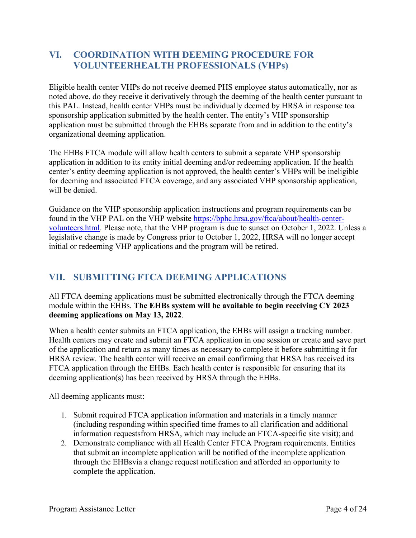# **VI. COORDINATION WITH DEEMING PROCEDURE FOR VOLUNTEERHEALTH PROFESSIONALS (VHPs)**

Eligible health center VHPs do not receive deemed PHS employee status automatically, nor as noted above, do they receive it derivatively through the deeming of the health center pursuant to this PAL. Instead, health center VHPs must be individually deemed by HRSA in response to a sponsorship application submitted by the health center. The entity's VHP sponsorship application must be submitted through the EHBs separate from and in addition to the entity's organizational deeming application.

The EHBs FTCA module will allow health centers to submit a separate VHP sponsorship application in addition to its entity initial deeming and/or redeeming application. If the health center's entity deeming application is not approved, the health center's VHPs will be ineligible for deeming and associated FTCA coverage, and any associated VHP sponsorship application, will be denied.

Guidance on the VHP sponsorship application instructions and program requirements can be found in the VHP PAL on the VHP website [https://bphc.hrsa.gov/ftca/about/health-center](https://bphc.hrsa.gov/ftca/about/health-center-volunteers.html)[volunteers.html.](https://bphc.hrsa.gov/ftca/about/health-center-volunteers.html) Please note, that the VHP program is due to sunset on October 1, 2022. Unless a legislative change is made by Congress prior to October 1, 2022, HRSA will no longer accept initial or redeeming VHP applications and the program will be retired.

# **VII. SUBMITTING FTCA DEEMING APPLICATIONS**

All FTCA deeming applications must be submitted electronically through the FTCA deeming module within the EHBs. **The EHBs system will be available to begin receiving CY 2023 deeming applications on May 13, 2022**.

When a health center submits an FTCA application, the EHBs will assign a tracking number. Health centers may create and submit an FTCA application in one session or create and save part of the application and return as many times as necessary to complete it before submitting it for HRSA review. The health center will receive an email confirming that HRSA has received its FTCA application through the EHBs. Each health center is responsible for ensuring that its deeming application(s) has been received by HRSA through the EHBs.

All deeming applicants must:

- 1. Submit required FTCA application information and materials in a timely manner (including responding within specified time frames to all clarification and additional information requestsfrom HRSA, which may include an FTCA-specific site visit); and
- 2. Demonstrate compliance with all Health Center FTCA Program requirements. Entities that submit an incomplete application will be notified of the incomplete application through the EHBs via a change request notification and afforded an opportunity to complete the application.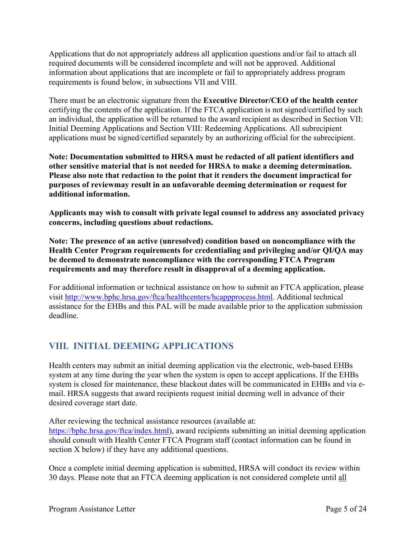Applications that do not appropriately address all application questions and/or fail to attach all required documents will be considered incomplete and will not be approved. Additional information about applications that are incomplete or fail to appropriately address program requirements is found below, in subsections VII and VIII.

There must be an electronic signature from the **Executive Director/CEO of the health center** certifying the contents of the application. If the FTCA application is not signed/certified by such an individual, the application will be returned to the award recipient as described in Section VII: Initial Deeming Applications and Section VIII: Redeeming Applications. All subrecipient applications must be signed/certified separately by an authorizing official for the subrecipient.

**Note: Documentation submitted to HRSA must be redacted of all patient identifiers and other sensitive material that is not needed for HRSA to make a deeming determination. Please also note that redaction to the point that it renders the document impractical for purposes of review may result in an unfavorable deeming determination or request for additional information.** 

**Applicants may wish to consult with private legal counsel to address any associated privacy concerns, including questions about redactions.**

**Note: The presence of an active (unresolved) condition based on noncompliance with the Health Center Program requirements for credentialing and privileging and/or QI/QA may be deemed to demonstrate noncompliance with the corresponding FTCA Program requirements and may therefore result in disapproval of a deeming application.**

For additional information or technical assistance on how to submit an FTCA application, please visit [http://www.bphc.hrsa.gov/ftca/healthcenters/hcappprocess.html.](http://www.bphc.hrsa.gov/ftca/healthcenters/hcappprocess.html) Additional technical assistance for the EHBs and this PAL will be made available prior to the application submission deadline.

# **VIII. INITIAL DEEMING APPLICATIONS**

Health centers may submit an initial deeming application via the electronic, web-based EHBs system at any time during the year when the system is open to accept applications. If the EHBs system is closed for maintenance, these blackout dates will be communicated in EHBs and via email. HRSA suggests that award recipients request initial deeming well in advance of their desired coverage start date.

After reviewing the technical assistance resources (available at:

[https://bphc.hrsa.gov/ftca/index.html\)](https://bphc.hrsa.gov/ftca/index.html), award recipients submitting an initial deeming application should consult with Health Center FTCA Program staff (contact information can be found in section X below) if they have any additional questions.

Once a complete initial deeming application is submitted, HRSA will conduct its review within 30 days. Please note that an FTCA deeming application is not considered complete until all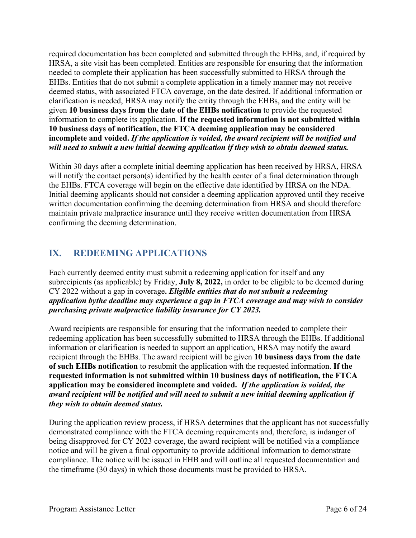required documentation has been completed and submitted through the EHBs, and, if required by HRSA, a site visit has been completed. Entities are responsible for ensuring that the information needed to complete their application has been successfully submitted to HRSA through the EHBs. Entities that do not submit a complete application in a timely manner may not receive deemed status, with associated FTCA coverage, on the date desired. If additional information or clarification is needed, HRSA may notify the entity through the EHBs, and the entity will be given **10 business days from the date of the EHBs notification** to provide the requested information to complete its application. **If the requested information is not submitted within 10 business days of notification, the FTCA deeming application may be considered incomplete and voided.** *If the application is voided, the award recipient will be notified and will need to submit a new initial deeming application if they wish to obtain deemed status.*

Within 30 days after a complete initial deeming application has been received by HRSA, HRSA will notify the contact person(s) identified by the health center of a final determination through the EHBs. FTCA coverage will begin on the effective date identified by HRSA on the NDA. Initial deeming applicants should not consider a deeming application approved until they receive written documentation confirming the deeming determination from HRSA and should therefore maintain private malpractice insurance until they receive written documentation from HRSA confirming the deeming determination.

# **IX. REDEEMING APPLICATIONS**

Each currently deemed entity must submit a redeeming application for itself and any subrecipients (as applicable) by Friday, **July 8, 2022,** in order to be eligible to be deemed during CY 2022 without a gap in coverage**.** *Eligible entities that do not submit a redeeming application bythe deadline may experience a gap in FTCA coverage and may wish to consider purchasing private malpractice liability insurance for CY 2023.*

Award recipients are responsible for ensuring that the information needed to complete their redeeming application has been successfully submitted to HRSA through the EHBs. If additional information or clarification is needed to support an application, HRSA may notify the award recipient through the EHBs. The award recipient will be given **10 business days from the date of such EHBs notification** to resubmit the application with the requested information. **If the requested information is not submitted within 10 business days of notification, the FTCA application may be considered incomplete and voided.** *If the application is voided, the award recipient will be notified and will need to submit a new initial deeming application if they wish to obtain deemed status.*

During the application review process, if HRSA determines that the applicant has not successfully demonstrated compliance with the FTCA deeming requirements and, therefore, is indanger of being disapproved for CY 2023 coverage, the award recipient will be notified via a compliance notice and will be given a final opportunity to provide additional information to demonstrate compliance. The notice will be issued in EHB and will outline all requested documentation and the timeframe (30 days) in which those documents must be provided to HRSA.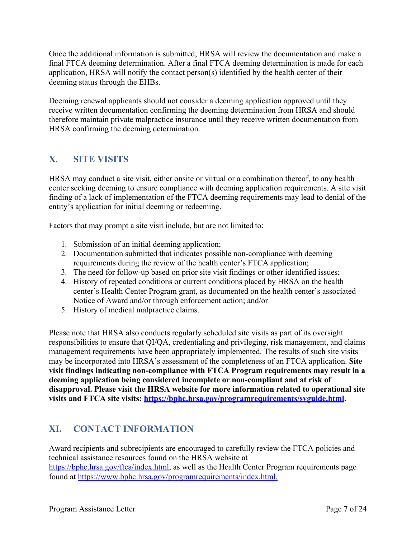Once the additional information is submitted, HRSA will review the documentation and make a final FTCA deeming determination. After a final FTCA deeming determination is made for each application, HRSA will notify the contact person(s) identified by the health center of their deeming status through the EHBs.

Deeming renewal applicants should not consider a deeming application approved until they receive written documentation confirming the deeming determination from HRSA and should therefore maintain private malpractice insurance until they receive written documentation from HRSA confirming the deeming determination.

# **X. SITE VISITS**

HRSA may conduct a site visit, either onsite or virtual or a combination thereof, to any health center seeking deeming to ensure compliance with deeming application requirements. A site visit finding of a lack of implementation of the FTCA deeming requirements may lead to denial of the entity's application for initial deeming or redeeming.

Factors that may prompt a site visit include, but are not limited to:

- 1. Submission of an initial deeming application;
- 2. Documentation submitted that indicates possible non-compliance with deeming requirements during the review of the health center's FTCA application;
- 3. The need for follow-up based on prior site visit findings or other identified issues;
- 4. History of repeated conditions or current conditions placed by HRSA on the health center's Health Center Program grant, as documented on the health center's associated Notice of Award and/or through enforcement action; and/or
- 5. History of medical malpractice claims.

Please note that HRSA also conducts regularly scheduled site visits as part of its oversight responsibilities to ensure that QI/QA, credentialing and privileging, risk management, and claims management requirements have been appropriately implemented. The results of such site visits may be incorporated into HRSA's assessment of the completeness of an FTCA application. **Site visit findings indicating non-compliance with FTCA Program requirements may result in a deeming application being considered incomplete or non-compliant and at risk of disapproval. Please visit the HRSA website for more information related to operational site visits and FTCA site visits: [https://bphc.hrsa.gov/programrequirements/svguide.html.](https://bphc.hrsa.gov/programrequirements/svguide.html)** 

# **XI. CONTACT INFORMATION**

Award recipients and subrecipients are encouraged to carefully review the FTCA policies and technical assistance resources found on the HRSA website at [https://bphc.hrsa.gov/ftca/index.html,](https://bphc.hrsa.gov/ftca/index.html) as well as the Health Center Program requirements page found at [https://www.bphc.hrsa.gov/programrequirements/index.html.](https://www.bphc.hrsa.gov/programrequirements/index.html)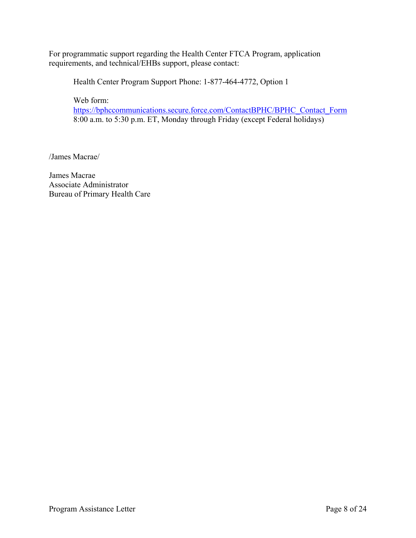For programmatic support regarding the Health Center FTCA Program, application requirements, and technical/EHBs support, please contact:

Health Center Program Support Phone: 1-877-464-4772, Option 1

Web form:

[https://bphccommunications.secure.force.com/ContactBPHC/BPHC\\_Contact\\_Form](https://bphccommunications.secure.force.com/ContactBPHC/BPHC_Contact_Form)  8:00 a.m. to 5:30 p.m. ET, Monday through Friday (except Federal holidays)

/James Macrae/

James Macrae Associate Administrator Bureau of Primary Health Care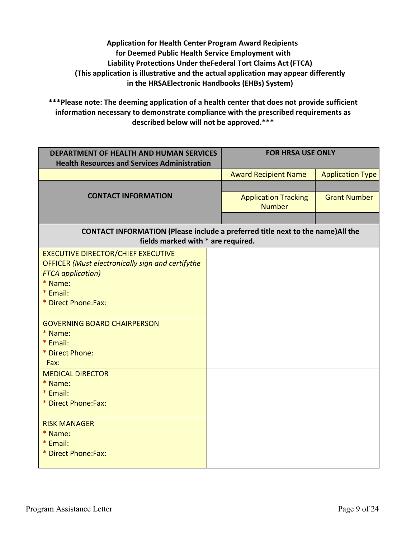**Application for Health Center Program Award Recipients for Deemed Public Health Service Employment with Liability Protections Under theFederal Tort Claims Act(FTCA) (This application is illustrative and the actual application may appear differently in the HRSAElectronic Handbooks (EHBs) System)**

**\*\*\*Please note: The deeming application of a health center that does not provide sufficient information necessary to demonstrate compliance with the prescribed requirements as described below will not be approved.\*\*\***

| <b>DEPARTMENT OF HEALTH AND HUMAN SERVICES</b><br><b>Health Resources and Services Administration</b>                 |  | <b>FOR HRSA USE ONLY</b>    |                         |
|-----------------------------------------------------------------------------------------------------------------------|--|-----------------------------|-------------------------|
|                                                                                                                       |  | <b>Award Recipient Name</b> | <b>Application Type</b> |
| <b>CONTACT INFORMATION</b>                                                                                            |  |                             |                         |
|                                                                                                                       |  | <b>Application Tracking</b> | <b>Grant Number</b>     |
|                                                                                                                       |  | <b>Number</b>               |                         |
|                                                                                                                       |  |                             |                         |
| CONTACT INFORMATION (Please include a preferred title next to the name) All the<br>fields marked with * are required. |  |                             |                         |
| <b>EXECUTIVE DIRECTOR/CHIEF EXECUTIVE</b>                                                                             |  |                             |                         |
| <b>OFFICER</b> (Must electronically sign and certifythe                                                               |  |                             |                         |
| <b>FTCA</b> application)<br>* Name:                                                                                   |  |                             |                         |
| * Email:                                                                                                              |  |                             |                         |
| * Direct Phone:Fax:                                                                                                   |  |                             |                         |
|                                                                                                                       |  |                             |                         |
| <b>GOVERNING BOARD CHAIRPERSON</b>                                                                                    |  |                             |                         |
| * Name:                                                                                                               |  |                             |                         |
| * Email:                                                                                                              |  |                             |                         |
| * Direct Phone:<br>Fax:                                                                                               |  |                             |                         |
| <b>MEDICAL DIRECTOR</b>                                                                                               |  |                             |                         |
| * Name:                                                                                                               |  |                             |                         |
| * Email:                                                                                                              |  |                             |                         |
| * Direct Phone: Fax:                                                                                                  |  |                             |                         |
|                                                                                                                       |  |                             |                         |
| <b>RISK MANAGER</b><br>* Name:                                                                                        |  |                             |                         |
| * Email:                                                                                                              |  |                             |                         |
| * Direct Phone:Fax:                                                                                                   |  |                             |                         |
|                                                                                                                       |  |                             |                         |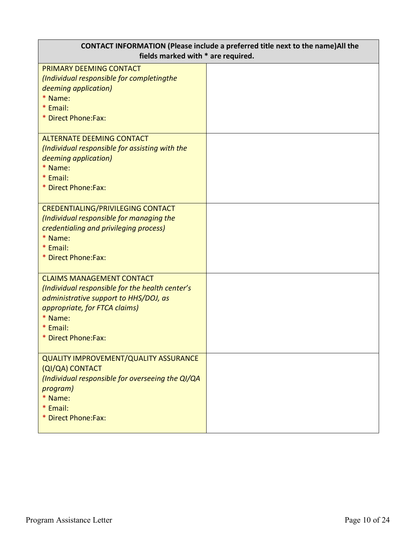| <b>CONTACT INFORMATION (Please include a preferred title next to the name)All the</b><br>fields marked with * are required.                                   |  |  |
|---------------------------------------------------------------------------------------------------------------------------------------------------------------|--|--|
| PRIMARY DEEMING CONTACT<br>(Individual responsible for completingthe                                                                                          |  |  |
| deeming application)<br>* Name:                                                                                                                               |  |  |
| * Email:<br>* Direct Phone:Fax:                                                                                                                               |  |  |
| <b>ALTERNATE DEEMING CONTACT</b><br>(Individual responsible for assisting with the<br>deeming application)                                                    |  |  |
| * Name:<br>* Email:                                                                                                                                           |  |  |
| * Direct Phone:Fax:                                                                                                                                           |  |  |
| <b>CREDENTIALING/PRIVILEGING CONTACT</b><br>(Individual responsible for managing the<br>credentialing and privileging process)<br>* Name:                     |  |  |
| * Email:<br>* Direct Phone:Fax:                                                                                                                               |  |  |
| <b>CLAIMS MANAGEMENT CONTACT</b><br>(Individual responsible for the health center's<br>administrative support to HHS/DOJ, as<br>appropriate, for FTCA claims) |  |  |
| * Name:<br>* Email:<br>* Direct Phone:Fax:                                                                                                                    |  |  |
| <b>QUALITY IMPROVEMENT/QUALITY ASSURANCE</b><br>(QI/QA) CONTACT<br>(Individual responsible for overseeing the QI/QA                                           |  |  |
| program)<br>* Name:                                                                                                                                           |  |  |
| * Email:<br>* Direct Phone:Fax:                                                                                                                               |  |  |
|                                                                                                                                                               |  |  |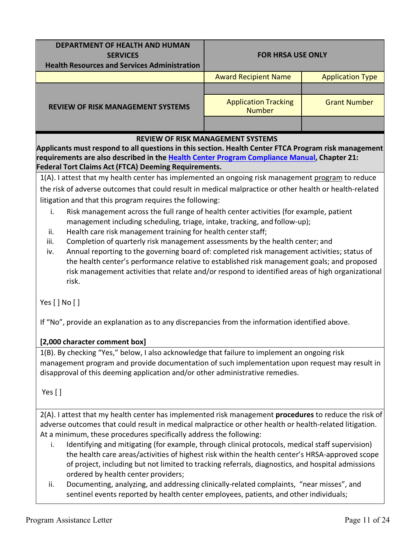| DEPARTMENT OF HEALTH AND HUMAN<br><b>SERVICES</b><br><b>Health Resources and Services Administration</b> | <b>FOR HRSA USE ONLY</b>                     |                         |  |
|----------------------------------------------------------------------------------------------------------|----------------------------------------------|-------------------------|--|
|                                                                                                          | <b>Award Recipient Name</b>                  | <b>Application Type</b> |  |
| <b>REVIEW OF RISK MANAGEMENT SYSTEMS</b>                                                                 |                                              |                         |  |
|                                                                                                          | <b>Application Tracking</b><br><b>Number</b> | <b>Grant Number</b>     |  |
|                                                                                                          |                                              |                         |  |
| <b>REVIEW OF RISK MANAGEMENT SYSTEMS</b>                                                                 |                                              |                         |  |

**Applicants must respond to all questions in this section. Health Center FTCA Program risk management requirements are also described in the [Health Center](https://bphc.hrsa.gov/programrequirements/compliancemanual/introduction.html#titletop) Program Compliance Manual, Chapter 21: Federal Tort Claims Act (FTCA) Deeming Requirements.**

1(A). I attest that my health center has implemented an ongoing risk management program to reduce the risk of adverse outcomes that could result in medical malpractice or other health or health-related litigation and that this program requires the following:

- i. Risk management across the full range of health center activities (for example, patient management including scheduling, triage, intake, tracking, and follow-up);
- ii. Health care risk management training for health center staff;
- iii. Completion of quarterly risk management assessments by the health center; and
- iv. Annual reporting to the governing board of: completed risk management activities; status of the health center's performance relative to established risk management goals; and proposed risk management activities that relate and/or respond to identified areas of high organizational risk.

Yes [ ] No [ ]

If "No", provide an explanation as to any discrepancies from the information identified above.

## **[2,000 character comment box]**

1(B). By checking "Yes," below, I also acknowledge that failure to implement an ongoing risk management program and provide documentation of such implementation upon request may result in disapproval of this deeming application and/or other administrative remedies.

Yes[ ]

2(A). I attest that my health center has implemented risk management **procedures** to reduce the risk of adverse outcomes that could result in medical malpractice or other health or health-related litigation. At a minimum, these procedures specifically address the following:

- i. Identifying and mitigating (for example, through clinical protocols, medical staff supervision) the health care areas/activities of highest risk within the health center's HRSA-approved scope of project, including but not limited to tracking referrals, diagnostics, and hospital admissions ordered by health center providers;
- ii. Documenting, analyzing, and addressing clinically-related complaints, "near misses", and sentinel events reported by health center employees, patients, and other individuals;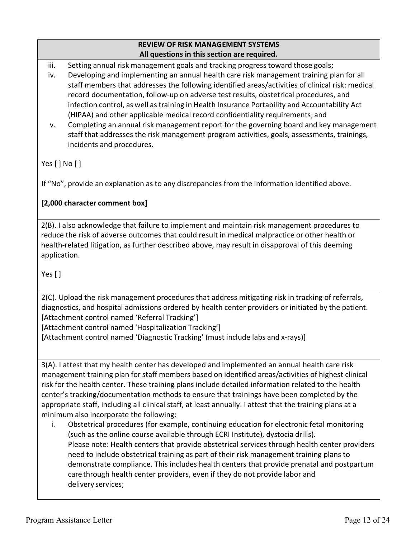#### **REVIEW OF RISK MANAGEMENT SYSTEMS All questions in this section are required.**

iii. Setting annual risk management goals and tracking progress toward those goals;

- iv. Developing and implementing an annual health care risk management training plan for all staff members that addresses the following identified areas/activities of clinical risk: medical record documentation, follow-up on adverse test results, obstetrical procedures, and infection control, as well as training in Health Insurance Portability and Accountability Act (HIPAA) and other applicable medical record confidentiality requirements; and
- v. Completing an annual risk management report for the governing board and key management staff that addresses the risk management program activities, goals, assessments, trainings, incidents and procedures.

Yes[ ] No [ ]

If "No", provide an explanation as to any discrepancies from the information identified above.

# **[2,000 character comment box]**

2(B). I also acknowledge that failure to implement and maintain risk management procedures to reduce the risk of adverse outcomes that could result in medical malpractice or other health or health-related litigation, as further described above, may result in disapproval of this deeming application.

Yes [ ]

2(C). Upload the risk management procedures that address mitigating risk in tracking of referrals, diagnostics, and hospital admissions ordered by health center providers or initiated by the patient. [Attachment control named 'Referral Tracking'] [Attachment control named 'Hospitalization Tracking']

[Attachment control named 'Diagnostic Tracking' (must include labs and x-rays)]

3(A). I attest that my health center has developed and implemented an annual health care risk management training plan for staff members based on identified areas/activities of highest clinical risk for the health center. These training plans include detailed information related to the health center's tracking/documentation methods to ensure that trainings have been completed by the appropriate staff, including all clinical staff, at least annually. I attest that the training plans at a minimum also incorporate the following:

i. Obstetrical procedures (for example, continuing education for electronic fetal monitoring (such as the online course available through ECRI Institute), dystocia drills). Please note: Health centers that provide obstetrical services through health center providers need to include obstetrical training as part of their risk management training plans to demonstrate compliance. This includes health centers that provide prenatal and postpartum carethrough health center providers, even if they do not provide labor and delivery services;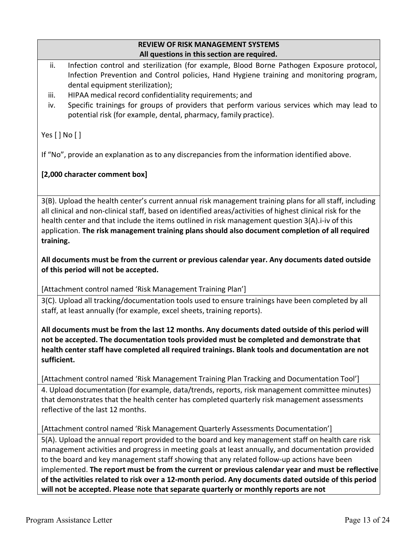#### **REVIEW OF RISK MANAGEMENT SYSTEMS All questions in this section are required.**

- ii. Infection control and sterilization (for example, Blood Borne Pathogen Exposure protocol, Infection Prevention and Control policies, Hand Hygiene training and monitoring program, dental equipment sterilization);
- iii. HIPAA medical record confidentiality requirements; and
- iv. Specific trainings for groups of providers that perform various services which may lead to potential risk (for example, dental, pharmacy, family practice).

Yes[ ] No [ ]

If "No", provide an explanation as to any discrepancies from the information identified above.

## **[2,000 character comment box]**

3(B). Upload the health center's current annual risk management training plans for all staff, including all clinical and non-clinical staff, based on identified areas/activities of highest clinical risk for the health center and that include the items outlined in risk management question 3(A).i-iv of this application. **The risk management training plans should also document completion of all required training.**

**All documents must be from the current or previous calendar year. Any documents dated outside of this period will not be accepted.**

[Attachment control named 'Risk Management Training Plan']

3(C). Upload all tracking/documentation tools used to ensure trainings have been completed by all staff, at least annually (for example, excel sheets, training reports).

**All documents must be from the last 12 months. Any documents dated outside of this period will not be accepted. The documentation tools provided must be completed and demonstrate that health center staff have completed all required trainings. Blank tools and documentation are not sufficient.**

[Attachment control named 'Risk Management Training Plan Tracking and Documentation Tool']

4. Upload documentation (for example, data/trends, reports, risk management committee minutes) that demonstrates that the health center has completed quarterly risk management assessments reflective of the last 12 months.

[Attachment control named 'Risk Management Quarterly Assessments Documentation']

5(A). Upload the annual report provided to the board and key management staff on health care risk management activities and progress in meeting goals at least annually, and documentation provided to the board and key management staff showing that any related follow-up actions have been implemented. **The report must be from the current or previous calendar year and must be reflective of the activities related to risk over a 12-month period. Any documents dated outside of this period will not be accepted. Please note that separate quarterly or monthly reports are not**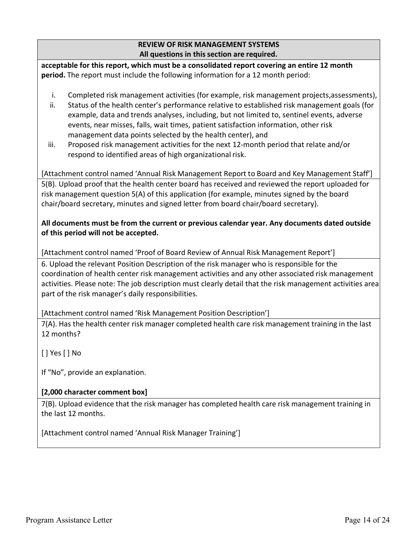#### **REVIEW OF RISK MANAGEMENT SYSTEMS All questions in this section are required.**

**acceptable for this report, which must be a consolidated report covering an entire 12 month period.** The report must include the following information for a 12 month period:

- i. Completed risk management activities (for example, risk management projects,assessments),
- ii. Status of the health center's performance relative to established risk management goals (for example, data and trends analyses, including, but not limited to, sentinel events, adverse events, near misses, falls, wait times, patient satisfaction information, other risk management data points selected by the health center), and
- iii. Proposed risk management activities for the next 12-month period that relate and/or respond to identified areas of high organizational risk.

[Attachment control named 'Annual Risk Management Report to Board and Key Management Staff'] 5(B). Upload proof that the health center board has received and reviewed the report uploaded for risk management question 5(A) of this application (for example, minutes signed by the board chair/board secretary, minutes and signed letter from board chair/board secretary).

#### **All documents must be from the current or previous calendar year. Any documents dated outside of this period will not be accepted.**

[Attachment control named 'Proof of Board Review of Annual Risk Management Report']

6. Upload the relevant Position Description of the risk manager who is responsible for the coordination of health center risk management activities and any other associated risk management activities. Please note: The job description must clearly detail that the risk management activities area part of the risk manager's daily responsibilities.

## [Attachment control named 'Risk Management Position Description']

7(A). Has the health center risk manager completed health care risk management training in the last 12 months?

[ ] Yes [ ] No

If "No", provide an explanation.

## **[2,000 character comment box]**

7(B). Upload evidence that the risk manager has completed health care risk management training in the last 12 months.

[Attachment control named 'Annual Risk Manager Training']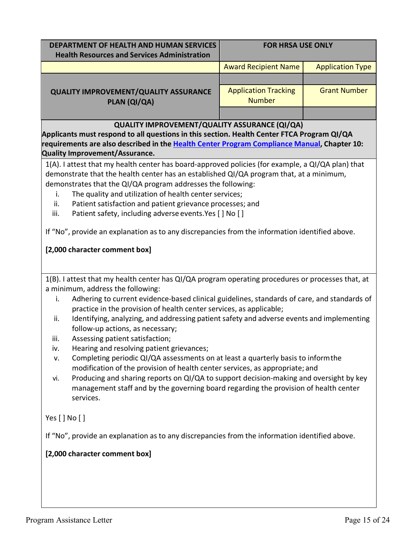| DEPARTMENT OF HEALTH AND HUMAN SERVICES                                                                                       | <b>FOR HRSA USE ONLY</b>                     |                         |  |
|-------------------------------------------------------------------------------------------------------------------------------|----------------------------------------------|-------------------------|--|
| <b>Health Resources and Services Administration</b>                                                                           |                                              |                         |  |
|                                                                                                                               | <b>Award Recipient Name</b>                  | <b>Application Type</b> |  |
|                                                                                                                               |                                              |                         |  |
| <b>QUALITY IMPROVEMENT/QUALITY ASSURANCE</b><br>PLAN (QI/QA)                                                                  | <b>Application Tracking</b><br><b>Number</b> | <b>Grant Number</b>     |  |
|                                                                                                                               |                                              |                         |  |
| <b>QUALITY IMPROVEMENT/QUALITY ASSURANCE (QI/QA)</b>                                                                          |                                              |                         |  |
| Applicants must respond to all questions in this section. Health Center FTCA Program QI/QA                                    |                                              |                         |  |
| requirements are also described in the Health Center Program Compliance Manual, Chapter 10:                                   |                                              |                         |  |
| Quality Improvement/Assurance.                                                                                                |                                              |                         |  |
| 1(A). I attest that my health center has board-approved policies (for example, a QI/QA plan) that                             |                                              |                         |  |
| demonstrate that the health center has an established QI/QA program that, at a minimum,                                       |                                              |                         |  |
| demonstrates that the QI/QA program addresses the following:                                                                  |                                              |                         |  |
| The quality and utilization of health center services;<br>i.<br>ii.                                                           |                                              |                         |  |
| Patient satisfaction and patient grievance processes; and<br>Patient safety, including adverse events. Yes [ ] No [ ]<br>iii. |                                              |                         |  |
|                                                                                                                               |                                              |                         |  |
| If "No", provide an explanation as to any discrepancies from the information identified above.                                |                                              |                         |  |
|                                                                                                                               |                                              |                         |  |
| [2,000 character comment box]                                                                                                 |                                              |                         |  |
|                                                                                                                               |                                              |                         |  |
| 1(B). I attest that my health center has QI/QA program operating procedures or processes that, at                             |                                              |                         |  |
| a minimum, address the following:                                                                                             |                                              |                         |  |
| Adhering to current evidence-based clinical guidelines, standards of care, and standards of<br>i.                             |                                              |                         |  |
| practice in the provision of health center services, as applicable;                                                           |                                              |                         |  |
| Identifying, analyzing, and addressing patient safety and adverse events and implementing<br>ii.                              |                                              |                         |  |
| follow-up actions, as necessary;                                                                                              |                                              |                         |  |
| Assessing patient satisfaction;<br>iii.                                                                                       |                                              |                         |  |
| Hearing and resolving patient grievances;<br>iv.                                                                              |                                              |                         |  |
| Completing periodic QI/QA assessments on at least a quarterly basis to inform the<br>v.                                       |                                              |                         |  |
| modification of the provision of health center services, as appropriate; and                                                  |                                              |                         |  |
| Producing and sharing reports on QI/QA to support decision-making and oversight by key<br>vi.                                 |                                              |                         |  |
| management staff and by the governing board regarding the provision of health center                                          |                                              |                         |  |
| services.                                                                                                                     |                                              |                         |  |
|                                                                                                                               |                                              |                         |  |
| Yes $[$ $]$ No $[$ $]$                                                                                                        |                                              |                         |  |
| If "No", provide an explanation as to any discrepancies from the information identified above.                                |                                              |                         |  |
| [2,000 character comment box]                                                                                                 |                                              |                         |  |
|                                                                                                                               |                                              |                         |  |
|                                                                                                                               |                                              |                         |  |
|                                                                                                                               |                                              |                         |  |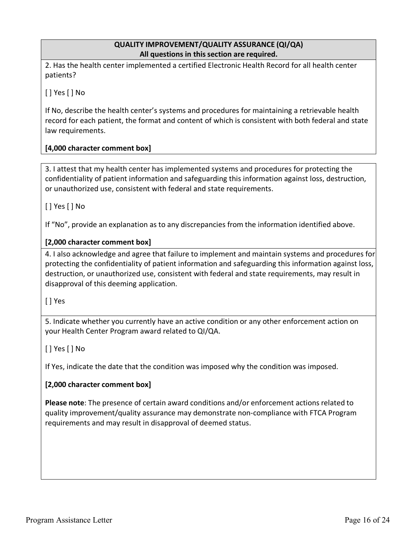#### **QUALITY IMPROVEMENT/QUALITY ASSURANCE (QI/QA) All questions in this section are required.**

2. Has the health center implemented a certified Electronic Health Record for all health center patients?

[ ] Yes [ ] No

If No, describe the health center's systems and procedures for maintaining a retrievable health record for each patient, the format and content of which is consistent with both federal and state law requirements.

#### **[4,000 character comment box]**

3. I attest that my health center has implemented systems and procedures for protecting the confidentiality of patient information and safeguarding this information against loss, destruction, or unauthorized use, consistent with federal and state requirements.

[ ] Yes [ ] No

If "No", provide an explanation as to any discrepancies from the information identified above.

#### **[2,000 character comment box]**

4. I also acknowledge and agree that failure to implement and maintain systems and procedures for protecting the confidentiality of patient information and safeguarding this information against loss, destruction, or unauthorized use, consistent with federal and state requirements, may result in disapproval of this deeming application.

[ ] Yes

5. Indicate whether you currently have an active condition or any other enforcement action on your Health Center Program award related to QI/QA.

[ ] Yes [ ] No

If Yes, indicate the date that the condition was imposed why the condition was imposed.

#### **[2,000 character comment box]**

**Please note**: The presence of certain award conditions and/or enforcement actions related to quality improvement/quality assurance may demonstrate non-compliance with FTCA Program requirements and may result in disapproval of deemed status.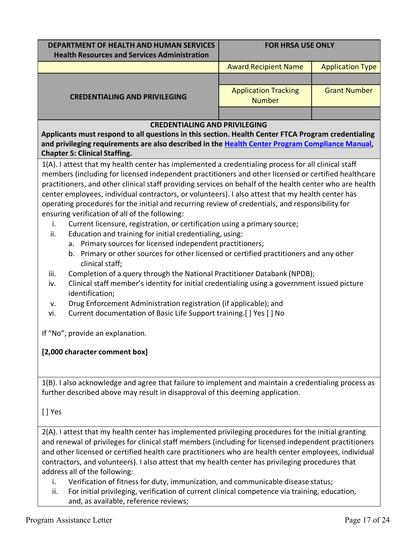| DEPARTMENT OF HEALTH AND HUMAN SERVICES<br><b>Health Resources and Services Administration</b> | <b>FOR HRSA USE ONLY</b>                     |                         |
|------------------------------------------------------------------------------------------------|----------------------------------------------|-------------------------|
|                                                                                                | <b>Award Recipient Name</b>                  | <b>Application Type</b> |
| <b>CREDENTIALING AND PRIVILEGING</b>                                                           |                                              |                         |
|                                                                                                | <b>Application Tracking</b><br><b>Number</b> | <b>Grant Number</b>     |
|                                                                                                |                                              |                         |

#### **CREDENTIALING AND PRIVILEGING**

**Applicants must respond to all questions in this section. Health Center FTCA Program credentialing and privileging requirements are also described in the Health [Center Program](https://bphc.hrsa.gov/programrequirements/compliancemanual/introduction.html#titletop) Compliance Manual, Chapter 5: Clinical Staffing.**

1(A). I attest that my health center has implemented a credentialing process for all clinical staff members (including for licensed independent practitioners and other licensed or certified healthcare practitioners, and other clinical staff providing services on behalf of the health center who are health center employees, individual contractors, or volunteers). I also attest that my health center has operating procedures for the initial and recurring review of credentials, and responsibility for ensuring verification of all of the following:

- i. Current licensure, registration, or certification using a primary source;
- ii. Education and training for initial credentialing, using:
	- a. Primary sources for licensed independent practitioners;
	- b. Primary or other sources for other licensed or certified practitioners and any other clinical staff;
- iii. Completion of a query through the National Practitioner Databank (NPDB);
- iv. Clinical staff member's identity for initial credentialing using a government issued picture identification;
- v. Drug Enforcement Administration registration (if applicable); and
- vi. Current documentation of Basic Life Support training. [ ] Yes [ ] No

If "No", provide an explanation.

#### **[2,000 character comment box]**

1(B). I also acknowledge and agree that failure to implement and maintain a credentialing process as further described above may result in disapproval of this deeming application.

[ ] Yes

2(A). I attest that my health center has implemented privileging procedures for the initial granting and renewal of privileges for clinical staff members (including for licensed independent practitioners and other licensed or certified health care practitioners who are health center employees, individual contractors, and volunteers). I also attest that my health center has privileging procedures that address all of the following:

- i. Verification of fitness for duty, immunization, and communicable disease status;
- ii. For initial privileging, verification of current clinical competence via training, education, and, as available, reference reviews;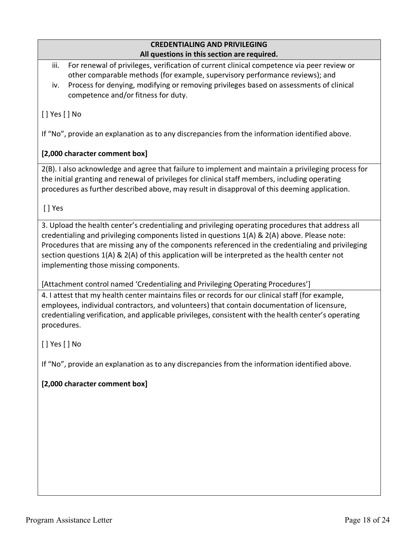#### **CREDENTIALING AND PRIVILEGING All questions in this section are required.**

iii. For renewal of privileges, verification of current clinical competence via peer review or other comparable methods (for example, supervisory performance reviews); and

iv. Process for denying, modifying or removing privileges based on assessments of clinical competence and/or fitness for duty.

# [ ] Yes [ ] No

If "No", provide an explanation as to any discrepancies from the information identified above.

# **[2,000 character comment box]**

2(B). I also acknowledge and agree that failure to implement and maintain a privileging process for the initial granting and renewal of privileges for clinical staff members, including operating procedures as further described above, may result in disapproval of this deeming application.

[ ] Yes

3. Upload the health center's credentialing and privileging operating procedures that address all credentialing and privileging components listed in questions 1(A) & 2(A) above. Please note: Procedures that are missing any of the components referenced in the credentialing and privileging section questions 1(A) & 2(A) of this application will be interpreted as the health center not implementing those missing components.

[Attachment control named 'Credentialing and Privileging Operating Procedures']

4. I attest that my health center maintains files or records for our clinical staff (for example, employees, individual contractors, and volunteers) that contain documentation of licensure, credentialing verification, and applicable privileges, consistent with the health center's operating procedures.

[ ] Yes [ ] No

If "No", provide an explanation as to any discrepancies from the information identified above.

## **[2,000 character comment box]**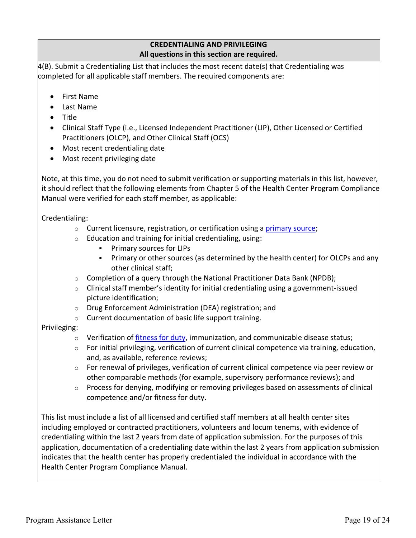#### **CREDENTIALING AND PRIVILEGING All questions in this section are required.**

4(B). Submit a Credentialing List that includes the most recent date(s) that Credentialing was completed for all applicable staff members. The required components are:

- First Name
- Last Name
- Title
- Clinical Staff Type (i.e., Licensed Independent Practitioner (LIP), Other Licensed or Certified Practitioners (OLCP), and Other Clinical Staff (OCS)
- Most recent credentialing date
- Most recent privileging date

Note, at this time, you do not need to submit verification or supporting materials in this list, however, it should reflect that the following elements from Chapter 5 of the Health Center Program Compliance Manual were verified for each staff member, as applicable:

Credentialing:

- Current licensure, registration, or certification using a [primary source;](https://bphc.hrsa.gov/programrequirements/compliancemanual/glossary.html#primary-source-verification)
- Education and training for initial credentialing, using:
	- Primary sources for LIPs
	- Primary or other sources (as determined by the health center) for OLCPs and any other clinical staff;
- Completion of a query through the National Practitioner Data Bank (NPDB);
- Clinical staff member's identity for initial credentialing using a government-issued picture identification;
- Drug Enforcement Administration (DEA) registration; and
- Current documentation of basic life support training.

#### Privileging:

- Verification of [fitness for duty](https://bphc.hrsa.gov/programrequirements/compliancemanual/glossary.html#fitness-for-duty), immunization, and communicable disease status;
- For initial privileging, verification of current clinical competence via training, education, and, as available, reference reviews;
- For renewal of privileges, verification of current clinical competence via peer review or other comparable methods (for example, supervisory performance reviews); and
- Process for denying, modifying or removing privileges based on assessments of clinical competence and/or fitness for duty.

This list must include a list of all licensed and certified staff members at all health center sites including employed or contracted practitioners, volunteers and locum tenems, with evidence of credentialing within the last 2 years from date of application submission. For the purposes of this application, documentation of a credentialing date within the last 2 years from application submission indicates that the health center has properly credentialed the individual in accordance with the Health Center Program Compliance Manual.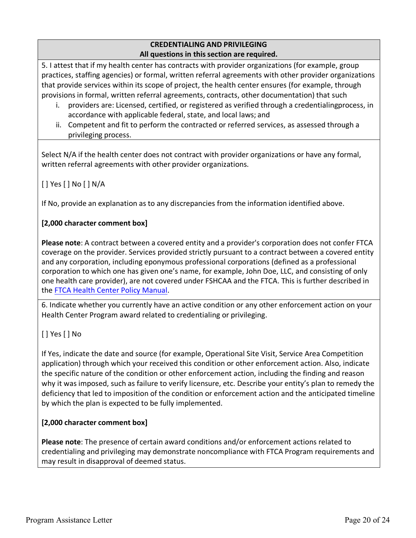### **CREDENTIALING AND PRIVILEGING All questions in this section are required.**

5. I attest that if my health center has contracts with provider organizations (for example, group practices, staffing agencies) or formal, written referral agreements with other provider organizations that provide services within its scope of project, the health center ensures (for example, through provisions in formal, written referral agreements, contracts, other documentation) that such

- i. providers are: Licensed, certified, or registered as verified through a credentialingprocess, in accordance with applicable federal, state, and local laws; and
- ii. Competent and fit to perform the contracted or referred services, as assessed through a privileging process.

Select N/A if the health center does not contract with provider organizations or have any formal, written referral agreements with other provider organizations.

[ ] Yes [ ] No [ ] N/A

If No, provide an explanation as to any discrepancies from the information identified above.

# **[2,000 character comment box]**

**Please note**: A contract between a covered entity and a provider's corporation does not confer FTCA coverage on the provider. Services provided strictly pursuant to a contract between a covered entity and any corporation, including eponymous professional corporations (defined as a professional corporation to which one has given one's name, for example, John Doe, LLC, and consisting of only one health care provider), are not covered under FSHCAA and the FTCA. This is further described in the FTCA Health Center [Policy Manual.](https://bphc.hrsa.gov/sites/default/files/bphc/ftca/pdf/ftcahcpolicymanualpdf.pdf)

6. Indicate whether you currently have an active condition or any other enforcement action on your Health Center Program award related to credentialing or privileging.

[ ] Yes [ ] No

If Yes, indicate the date and source (for example, Operational Site Visit, Service Area Competition application) through which your received this condition or other enforcement action. Also, indicate the specific nature of the condition or other enforcement action, including the finding and reason why it was imposed, such as failure to verify licensure, etc. Describe your entity's plan to remedy the deficiency that led to imposition of the condition or enforcement action and the anticipated timeline by which the plan is expected to be fully implemented.

# **[2,000 character comment box]**

**Please note**: The presence of certain award conditions and/or enforcement actions related to credentialing and privileging may demonstrate noncompliance with FTCA Program requirements and may result in disapproval of deemed status.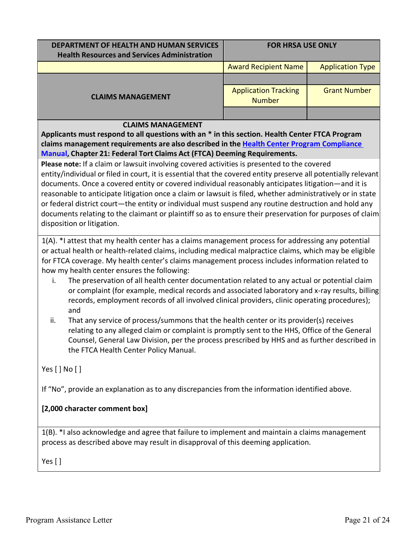| DEPARTMENT OF HEALTH AND HUMAN SERVICES<br><b>Health Resources and Services Administration</b> | <b>FOR HRSA USE ONLY</b>                     |                         |
|------------------------------------------------------------------------------------------------|----------------------------------------------|-------------------------|
|                                                                                                | <b>Award Recipient Name</b>                  | <b>Application Type</b> |
| <b>CLAIMS MANAGEMENT</b>                                                                       |                                              |                         |
|                                                                                                | <b>Application Tracking</b><br><b>Number</b> | <b>Grant Number</b>     |
|                                                                                                |                                              |                         |

#### **CLAIMS MANAGEMENT**

**Applicants must respond to all questions with an \* in this section. Health Center FTCA Program claims management requirements are also described in the Health [Center Program](https://bphc.hrsa.gov/programrequirements/compliancemanual/introduction.html#titletop) Compliance [Manual,](https://bphc.hrsa.gov/programrequirements/compliancemanual/introduction.html#titletop) Chapter 21: Federal Tort Claims Act (FTCA) Deeming Requirements.**

**Please note:** If a claim or lawsuit involving covered activities is presented to the covered entity/individual or filed in court, it is essential that the covered entity preserve all potentially relevant documents. Once a covered entity or covered individual reasonably anticipates litigation—and it is reasonable to anticipate litigation once a claim or lawsuit is filed, whether administratively or in state or federal district court—the entity or individual must suspend any routine destruction and hold any documents relating to the claimant or plaintiff so as to ensure their preservation for purposes of claim disposition or litigation.

1(A). \*I attest that my health center has a claims management process for addressing any potential or actual health or health-related claims, including medical malpractice claims, which may be eligible for FTCA coverage. My health center's claims management process includes information related to how my health center ensures the following:

- i. The preservation of all health center documentation related to any actual or potential claim or complaint (for example, medical records and associated laboratory and x-ray results, billing records, employment records of all involved clinical providers, clinic operating procedures); and
- ii. That any service of process/summons that the health center or its provider(s) receives relating to any alleged claim or complaint is promptly sent to the HHS, Office of the General Counsel, General Law Division, per the process prescribed by HHS and as further described in the FTCA Health Center Policy Manual.

Yes[ ] No [ ]

If "No", provide an explanation as to any discrepancies from the information identified above.

#### **[2,000 character comment box]**

1(B). \*I also acknowledge and agree that failure to implement and maintain a claims management process as described above may result in disapproval of this deeming application.

Yes [ ]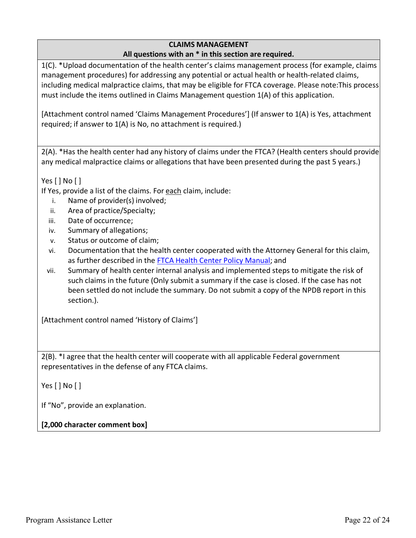## **CLAIMS MANAGEMENT**

#### **All questions with an \* in this section are required.**

1(C). \*Upload documentation of the health center's claims management process (for example, claims management procedures) for addressing any potential or actual health or health-related claims, including medical malpractice claims, that may be eligible for FTCA coverage. Please note:This process must include the items outlined in Claims Management question 1(A) of this application.

[Attachment control named 'Claims Management Procedures'] (If answer to 1(A) is Yes, attachment required; if answer to 1(A) is No, no attachment is required.)

2(A). \*Has the health center had any history of claims under the FTCA? (Health centers should provide any medical malpractice claims or allegations that have been presented during the past 5 years.)

Yes [ ] No [ ]

If Yes, provide a list of the claims. For each claim, include:

- i. Name of provider(s) involved;
- ii. Area of practice/Specialty;
- iii. Date of occurrence;
- iv. Summary of allegations;
- v. Status or outcome of claim;
- vi. Documentation that the health center cooperated with the Attorney General for this claim, as further described in the FTCA Health Center Policy [Manual;](https://bphc.hrsa.gov/sites/default/files/bphc/ftca/pdf/ftcahcpolicymanualpdf.pdf) and
- vii. Summary of health center internal analysis and implemented steps to mitigate the risk of such claims in the future (Only submit a summary if the case is closed. If the case has not been settled do not include the summary. Do not submit a copy of the NPDB report in this section.).

[Attachment control named 'History of Claims']

2(B). \*I agree that the health center will cooperate with all applicable Federal government representatives in the defense of any FTCA claims.

Yes[ ] No [ ]

If "No", provide an explanation.

**[2,000 character comment box]**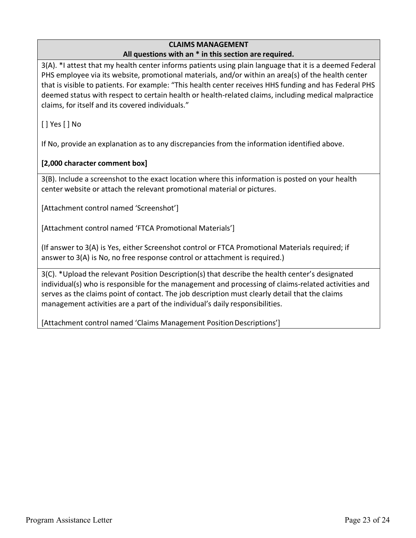#### **CLAIMS MANAGEMENT All questions with an \* in this section are required.**

3(A). \*I attest that my health center informs patients using plain language that it is a deemed Federal PHS employee via its website, promotional materials, and/or within an area(s) of the health center that is visible to patients. For example: "This health center receives HHS funding and has Federal PHS deemed status with respect to certain health or health-related claims, including medical malpractice claims, for itself and its covered individuals."

[ ] Yes [ ] No

If No, provide an explanation as to any discrepancies from the information identified above.

## **[2,000 character comment box]**

3(B). Include a screenshot to the exact location where this information is posted on your health center website or attach the relevant promotional material or pictures.

[Attachment control named 'Screenshot']

[Attachment control named 'FTCA Promotional Materials']

(If answer to 3(A) is Yes, either Screenshot control or FTCA Promotional Materials required; if answer to 3(A) is No, no free response control or attachment is required.)

3(C). \*Upload the relevant Position Description(s) that describe the health center's designated individual(s) who is responsible for the management and processing of claims-related activities and serves as the claims point of contact. The job description must clearly detail that the claims management activities are a part of the individual's daily responsibilities.

[Attachment control named 'Claims Management Position Descriptions']